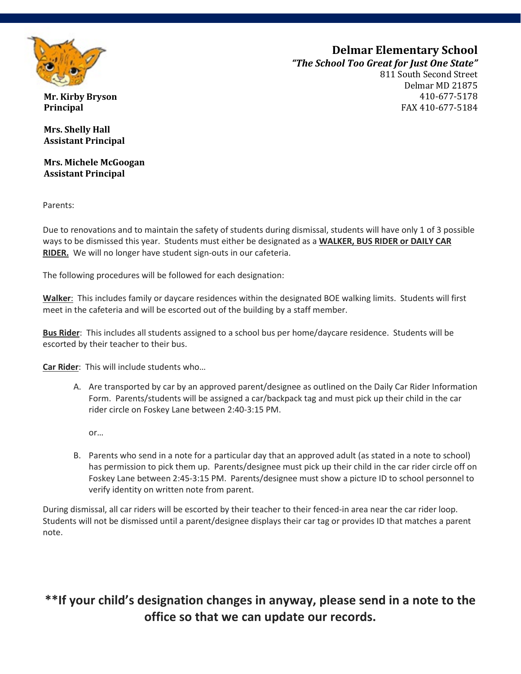

# **Delmar Elementary School**

*"The School Too Great for Just One State"*

811 South Second Street Delmar MD 21875 410-677-5178 FAX 410-677-5184

**Mr. Kirby Bryson Principal**

**Mrs. Shelly Hall Assistant Principal**

**Assistant Principal Mrs. Michele McGoogan**

Parents:

Due to renovations and to maintain the safety of students during dismissal, students will have only 1 of 3 possible  ways to be dismissed this year. Students must either be designated as a **WALKER, BUS RIDER or DAILY CAR**  **RIDER.** We will no longer have student sign-outs in our cafeteria.

The following procedures will be followed for each designation:

**Walker**: This includes family or daycare residences within the designated BOE walking limits. Students will first meet in the cafeteria and will be escorted out of the building by a staff member.

**Bus Rider**: This includes all students assigned to a school bus per home/daycare residence. Students will be escorted by their teacher to their bus.

**Car Rider**: This will include students who…

A. Are transported by car by an approved parent/designee as outlined on the Daily Car Rider Information Form. Parents/students will be assigned a car/backpack tag and must pick up their child in the car rider circle on Foskey Lane between 2:40-3:15 PM.

or…

B. Parents who send in a note for a particular day that an approved adult (as stated in a note to school) has permission to pick them up. Parents/designee must pick up their child in the car rider circle off on Foskey Lane between 2:45-3:15 PM. Parents/designee must show a picture ID to school personnel to verify identity on written note from parent.

During dismissal, all car riders will be escorted by their teacher to their fenced-in area near the car rider loop. Students will not be dismissed until a parent/designee displays their car tag or provides ID that matches a parent note.

## **\*\*If your child's designation changes in anyway, please send in a note to the office so that we can update our records.**